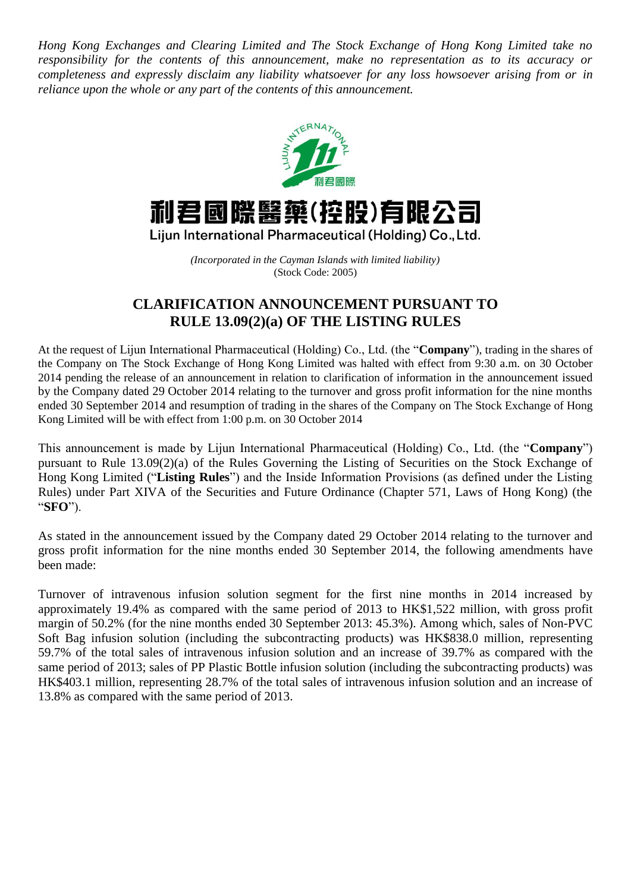*Hong Kong Exchanges and Clearing Limited and The Stock Exchange of Hong Kong Limited take no responsibility for the contents of this announcement, make no representation as to its accuracy or completeness and expressly disclaim any liability whatsoever for any loss howsoever arising from or in reliance upon the whole or any part of the contents of this announcement.*



## 利君國際醫藥(控股)有眼公司

Lijun International Pharmaceutical (Holding) Co., Ltd.

*(Incorporated in the Cayman Islands with limited liability)* (Stock Code: 2005)

## **CLARIFICATION ANNOUNCEMENT PURSUANT TO RULE 13.09(2)(a) OF THE LISTING RULES**

At the request of Lijun International Pharmaceutical (Holding) Co., Ltd. (the "**Company**"), trading in the shares of the Company on The Stock Exchange of Hong Kong Limited was halted with effect from 9:30 a.m. on 30 October 2014 pending the release of an announcement in relation to clarification of information in the announcement issued by the Company dated 29 October 2014 relating to the turnover and gross profit information for the nine months ended 30 September 2014 and resumption of trading in the shares of the Company on The Stock Exchange of Hong Kong Limited will be with effect from 1:00 p.m. on 30 October 2014

This announcement is made by Lijun International Pharmaceutical (Holding) Co., Ltd. (the "**Company**") pursuant to Rule 13.09(2)(a) of the Rules Governing the Listing of Securities on the Stock Exchange of Hong Kong Limited ("**Listing Rules**") and the Inside Information Provisions (as defined under the Listing Rules) under Part XIVA of the Securities and Future Ordinance (Chapter 571, Laws of Hong Kong) (the "**SFO**").

As stated in the announcement issued by the Company dated 29 October 2014 relating to the turnover and gross profit information for the nine months ended 30 September 2014, the following amendments have been made:

Turnover of intravenous infusion solution segment for the first nine months in 2014 increased by approximately 19.4% as compared with the same period of 2013 to HK\$1,522 million, with gross profit margin of 50.2% (for the nine months ended 30 September 2013: 45.3%). Among which, sales of Non-PVC Soft Bag infusion solution (including the subcontracting products) was HK\$838.0 million, representing 59.7% of the total sales of intravenous infusion solution and an increase of 39.7% as compared with the same period of 2013; sales of PP Plastic Bottle infusion solution (including the subcontracting products) was HK\$403.1 million, representing 28.7% of the total sales of intravenous infusion solution and an increase of 13.8% as compared with the same period of 2013.